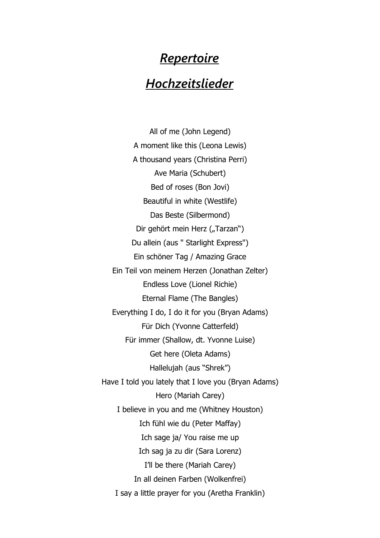## *Repertoire*

## *Hochzeitslieder*

All of me (John Legend) A moment like this (Leona Lewis) A thousand years (Christina Perri) Ave Maria (Schubert) Bed of roses (Bon Jovi) Beautiful in white (Westlife) Das Beste (Silbermond) Dir gehört mein Herz ("Tarzan") Du allein (aus " Starlight Express") Ein schöner Tag / Amazing Grace Ein Teil von meinem Herzen (Jonathan Zelter) Endless Love (Lionel Richie) Eternal Flame (The Bangles) Everything I do, I do it for you (Bryan Adams) Für Dich (Yvonne Catterfeld) Für immer (Shallow, dt. Yvonne Luise) Get here (Oleta Adams) Hallelujah (aus "Shrek") Have I told you lately that I love you (Bryan Adams) Hero (Mariah Carey) I believe in you and me (Whitney Houston) Ich fühl wie du (Peter Maffay) Ich sage ja/ You raise me up Ich sag ja zu dir (Sara Lorenz) I'll be there (Mariah Carey) In all deinen Farben (Wolkenfrei) I say a little prayer for you (Aretha Franklin)